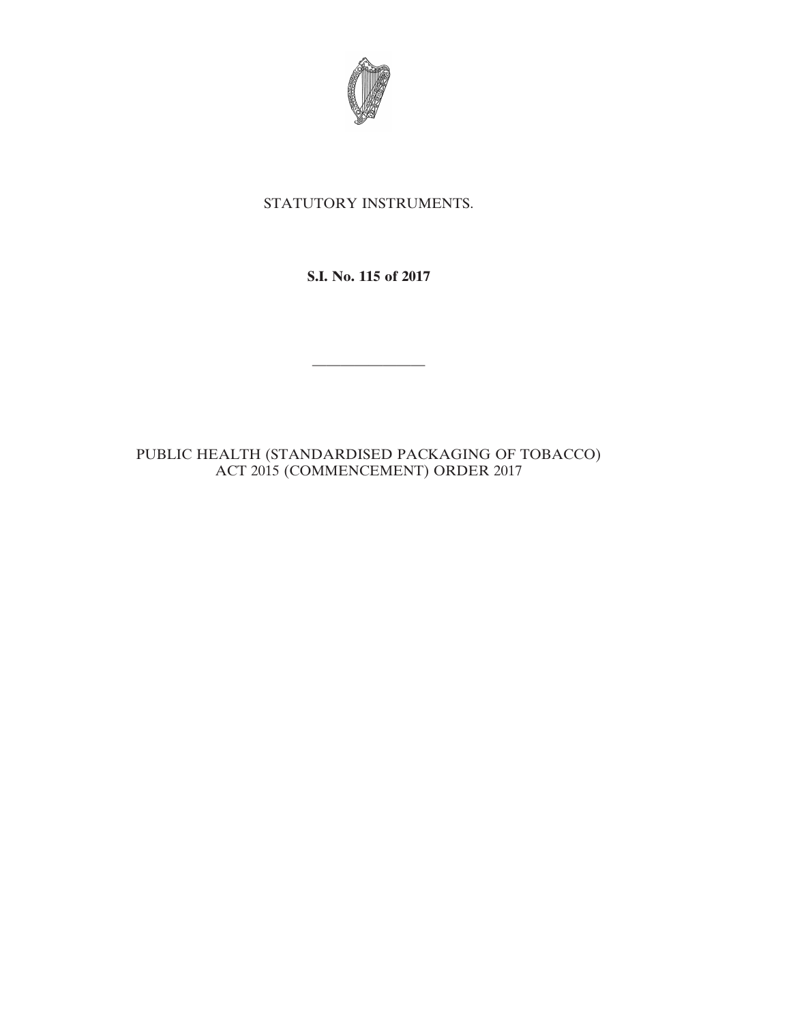

## STATUTORY INSTRUMENTS.

**S.I. No. 115 of 2017**

————————

PUBLIC HEALTH (STANDARDISED PACKAGING OF TOBACCO) ACT 2015 (COMMENCEMENT) ORDER 2017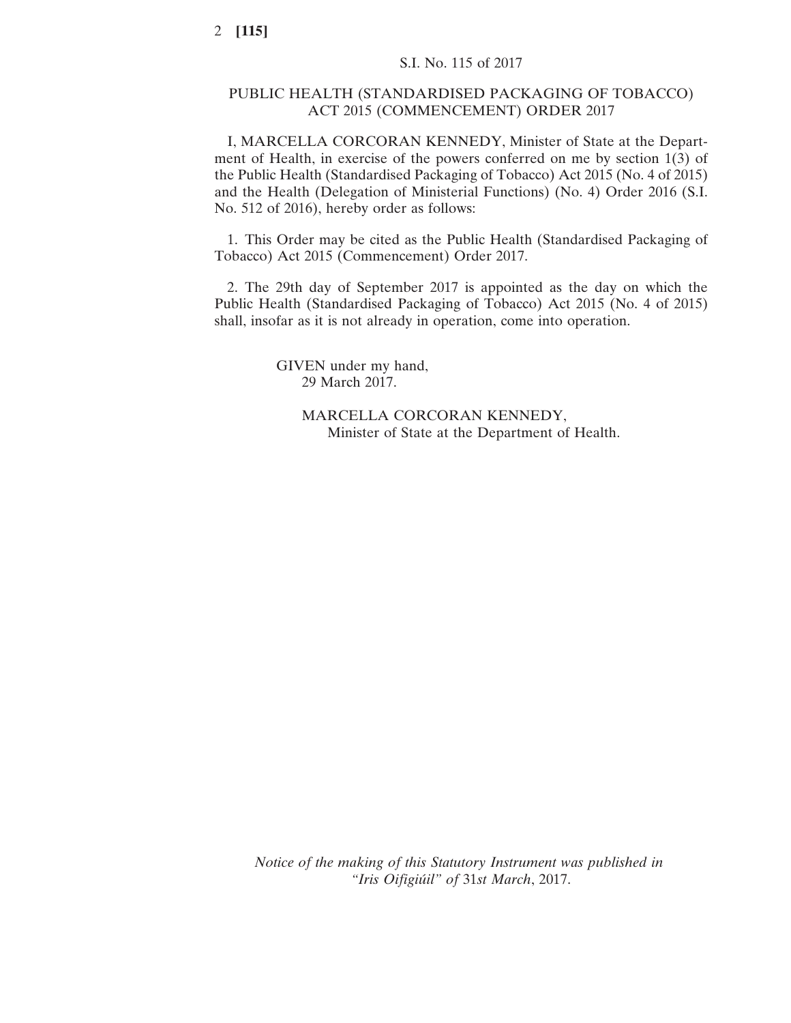## PUBLIC HEALTH (STANDARDISED PACKAGING OF TOBACCO) ACT 2015 (COMMENCEMENT) ORDER 2017

I, MARCELLA CORCORAN KENNEDY, Minister of State at the Department of Health, in exercise of the powers conferred on me by section 1(3) of the Public Health (Standardised Packaging of Tobacco) Act 2015 (No. 4 of 2015) and the Health (Delegation of Ministerial Functions) (No. 4) Order 2016 (S.I. No. 512 of 2016), hereby order as follows:

1. This Order may be cited as the Public Health (Standardised Packaging of Tobacco) Act 2015 (Commencement) Order 2017.

2. The 29th day of September 2017 is appointed as the day on which the Public Health (Standardised Packaging of Tobacco) Act 2015 (No. 4 of 2015) shall, insofar as it is not already in operation, come into operation.

> GIVEN under my hand, 29 March 2017.

> > MARCELLA CORCORAN KENNEDY, Minister of State at the Department of Health.

*Notice of the making of this Statutory Instrument was published in "Iris Oifigiúil" of* 31*st March*, 2017.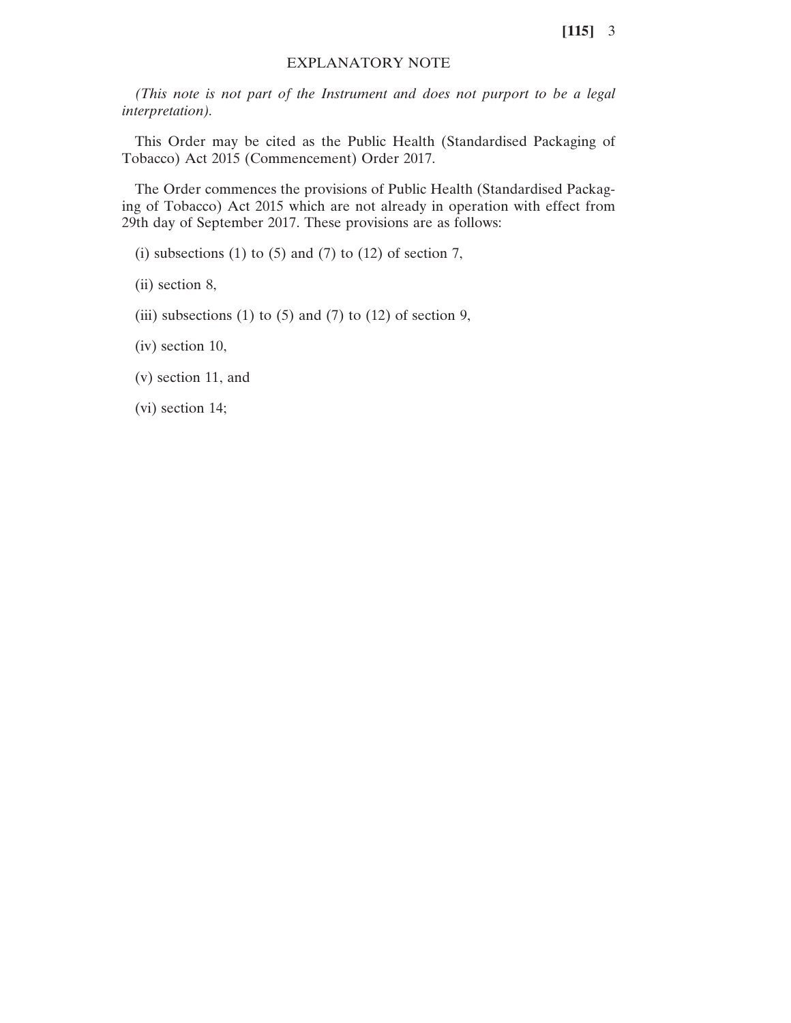**[115]** 3

## EXPLANATORY NOTE

*(This note is not part of the Instrument and does not purport to be a legal interpretation).*

This Order may be cited as the Public Health (Standardised Packaging of Tobacco) Act 2015 (Commencement) Order 2017.

The Order commences the provisions of Public Health (Standardised Packaging of Tobacco) Act 2015 which are not already in operation with effect from 29th day of September 2017. These provisions are as follows:

(i) subsections (1) to  $(5)$  and  $(7)$  to  $(12)$  of section 7,

(ii) section 8,

(iii) subsections (1) to (5) and (7) to (12) of section 9,

(iv) section 10,

(v) section 11, and

(vi) section 14;